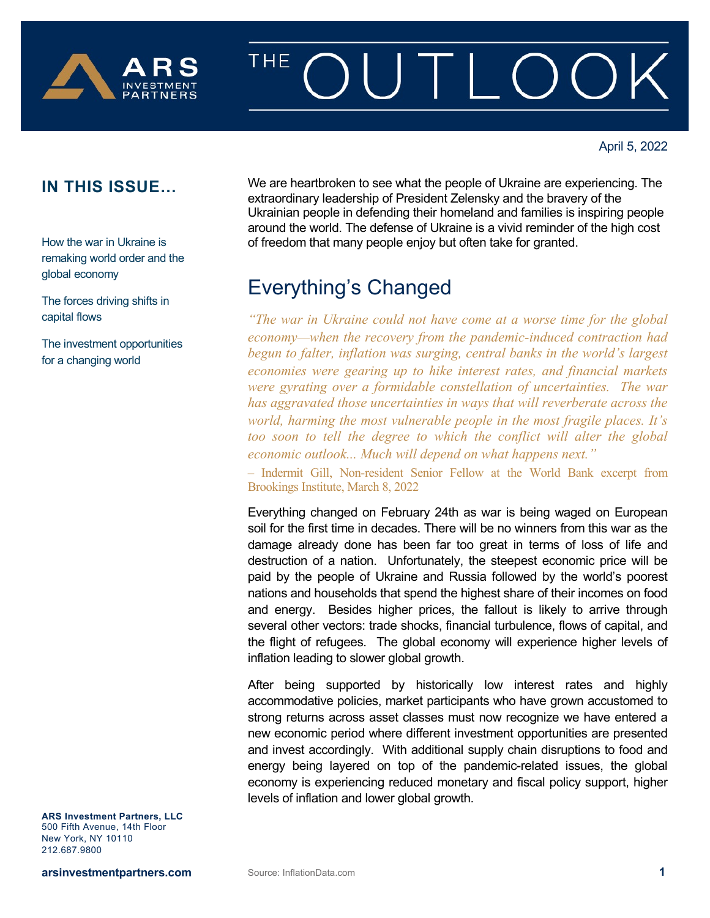

# THE

How the war in Ukraine is remaking world order and the global economy

The forces driving shifts in capital flows

The investment opportunities for a changing world

**IN THIS ISSUE...** We are heartbroken to see what the people of Ukraine are experiencing. The extraordinary leadership of President Zelensky and the bravery of the Ukrainian people in defending their homeland and families is inspiring people around the world. The defense of Ukraine is a vivid reminder of the high cost of freedom that many people enjoy but often take for granted.

## Everything's Changed

*"The war in Ukraine could not have come at a worse time for the global economy—when the recovery from the pandemic-induced contraction had begun to falter, inflation was surging, central banks in the world's largest economies were gearing up to hike interest rates, and financial markets were gyrating over a formidable constellation of uncertainties. The war has aggravated those uncertainties in ways that will reverberate across the world, harming the most vulnerable people in the most fragile places. It's too soon to tell the degree to which the conflict will alter the global economic outlook... Much will depend on what happens next."*

– Indermit Gill, Non-resident Senior Fellow at the World Bank excerpt from Brookings Institute, March 8, 2022

Everything changed on February 24th as war is being waged on European soil for the first time in decades. There will be no winners from this war as the damage already done has been far too great in terms of loss of life and destruction of a nation. Unfortunately, the steepest economic price will be paid by the people of Ukraine and Russia followed by the world's poorest nations and households that spend the highest share of their incomes on food and energy. Besides higher prices, the fallout is likely to arrive through several other vectors: trade shocks, financial turbulence, flows of capital, and the flight of refugees. The global economy will experience higher levels of inflation leading to slower global growth.

After being supported by historically low interest rates and highly accommodative policies, market participants who have grown accustomed to strong returns across asset classes must now recognize we have entered a new economic period where different investment opportunities are presented and invest accordingly. With additional supply chain disruptions to food and energy being layered on top of the pandemic-related issues, the global economy is experiencing reduced monetary and fiscal policy support, higher levels of inflation and lower global growth.

**ARS Investment Partners, LLC** 500 Fifth Avenue, 14th Floor New York, NY 10110 212.687.9800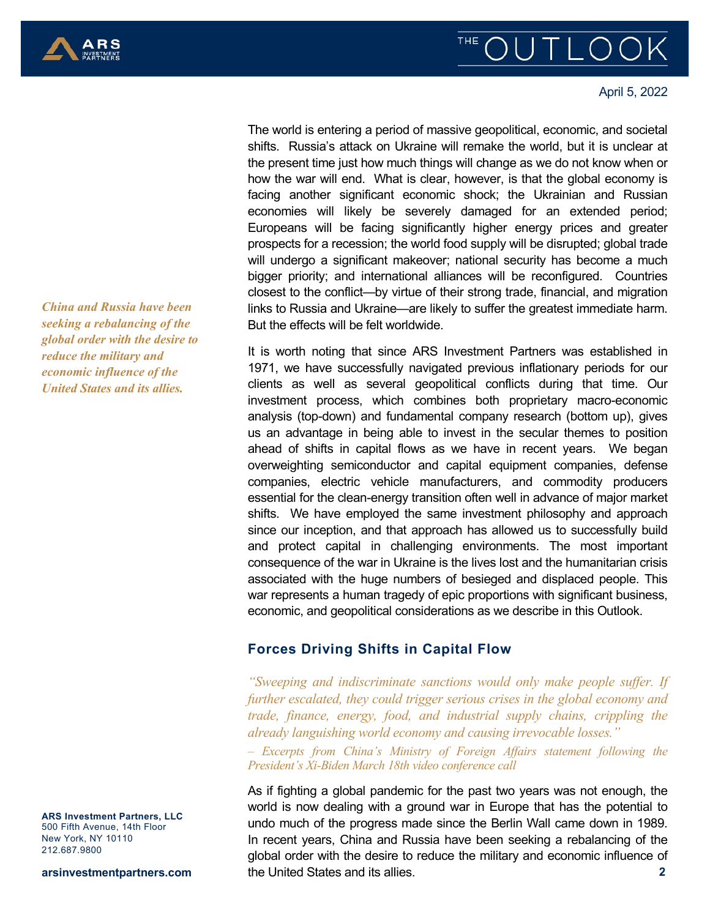

#### April 5, 2022

The world is entering a period of massive geopolitical, economic, and societal shifts. Russia's attack on Ukraine will remake the world, but it is unclear at the present time just how much things will change as we do not know when or how the war will end. What is clear, however, is that the global economy is facing another significant economic shock; the Ukrainian and Russian economies will likely be severely damaged for an extended period; Europeans will be facing significantly higher energy prices and greater prospects for a recession; the world food supply will be disrupted; global trade will undergo a significant makeover; national security has become a much bigger priority; and international alliances will be reconfigured. Countries closest to the conflict—by virtue of their strong trade, financial, and migration links to Russia and Ukraine—are likely to suffer the greatest immediate harm. But the effects will be felt worldwide.

It is worth noting that since ARS Investment Partners was established in 1971, we have successfully navigated previous inflationary periods for our clients as well as several geopolitical conflicts during that time. Our investment process, which combines both proprietary macro-economic analysis (top-down) and fundamental company research (bottom up), gives us an advantage in being able to invest in the secular themes to position ahead of shifts in capital flows as we have in recent years. We began overweighting semiconductor and capital equipment companies, defense companies, electric vehicle manufacturers, and commodity producers essential for the clean-energy transition often well in advance of major market shifts. We have employed the same investment philosophy and approach since our inception, and that approach has allowed us to successfully build and protect capital in challenging environments. The most important consequence of the war in Ukraine is the lives lost and the humanitarian crisis associated with the huge numbers of besieged and displaced people. This war represents a human tragedy of epic proportions with significant business, economic, and geopolitical considerations as we describe in this Outlook.

#### **Forces Driving Shifts in Capital Flow**

*"Sweeping and indiscriminate sanctions would only make people suffer. If further escalated, they could trigger serious crises in the global economy and trade, finance, energy, food, and industrial supply chains, crippling the already languishing world economy and causing irrevocable losses."*

– *Excerpts from China's Ministry of Foreign Affairs statement following the President's Xi-Biden March 18th video conference call*

**2** As if fighting a global pandemic for the past two years was not enough, the world is now dealing with a ground war in Europe that has the potential to undo much of the progress made since the Berlin Wall came down in 1989. In recent years, China and Russia have been seeking a rebalancing of the global order with the desire to reduce the military and economic influence of the United States and its allies.

*China and Russia have been seeking a rebalancing of the global order with the desire to reduce the military and economic influence of the United States and its allies.* 

**ARS Investment Partners, LLC** 500 Fifth Avenue, 14th Floor New York, NY 10110 212.687.9800

**arsinvestmentpartners.com**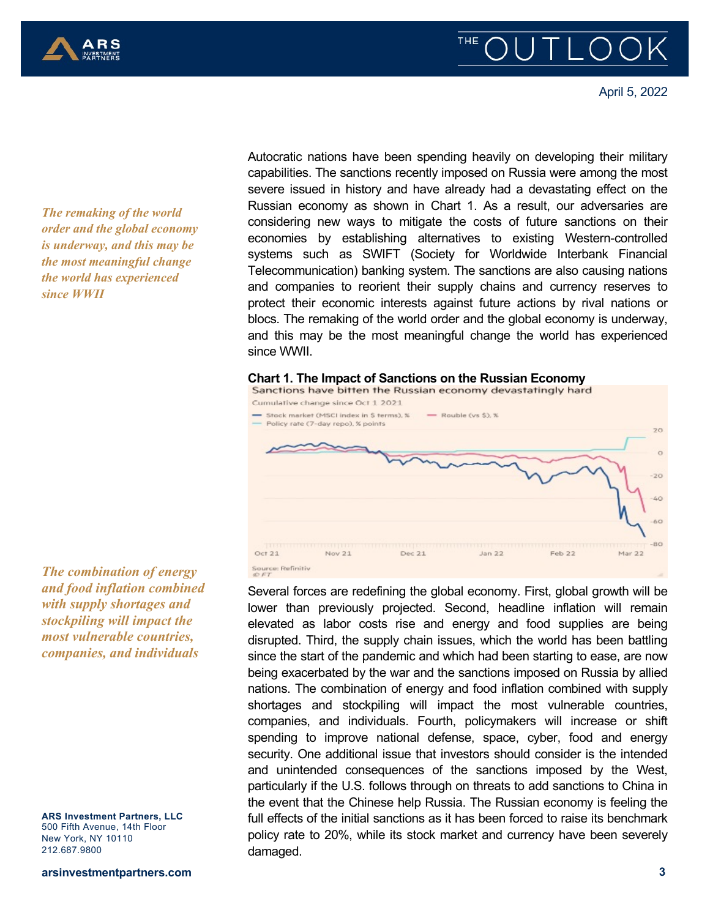



April 5, 2022

*The remaking of the world order and the global economy is underway, and this may be the most meaningful change the world has experienced since WWII*

*The combination of energy and food inflation combined with supply shortages and stockpiling will impact the most vulnerable countries, companies, and individuals*

**ARS Investment Partners, LLC** 500 Fifth Avenue, 14th Floor New York, NY 10110 212.687.9800

**arsinvestmentpartners.com**

Autocratic nations have been spending heavily on developing their military capabilities. The sanctions recently imposed on Russia were among the most severe issued in history and have already had a devastating effect on the Russian economy as shown in Chart 1. As a result, our adversaries are considering new ways to mitigate the costs of future sanctions on their economies by establishing alternatives to existing Western-controlled systems such as SWIFT (Society for Worldwide Interbank Financial Telecommunication) banking system. The sanctions are also causing nations and companies to reorient their supply chains and currency reserves to protect their economic interests against future actions by rival nations or blocs. The remaking of the world order and the global economy is underway, and this may be the most meaningful change the world has experienced since WWII.

## **Chart 1. The Impact of Sanctions on the Russian Economy**



Several forces are redefining the global economy. First, global growth will be lower than previously projected. Second, headline inflation will remain elevated as labor costs rise and energy and food supplies are being disrupted. Third, the supply chain issues, which the world has been battling since the start of the pandemic and which had been starting to ease, are now being exacerbated by the war and the sanctions imposed on Russia by allied nations. The combination of energy and food inflation combined with supply shortages and stockpiling will impact the most vulnerable countries, companies, and individuals. Fourth, policymakers will increase or shift spending to improve national defense, space, cyber, food and energy security. One additional issue that investors should consider is the intended and unintended consequences of the sanctions imposed by the West, particularly if the U.S. follows through on threats to add sanctions to China in the event that the Chinese help Russia. The Russian economy is feeling the full effects of the initial sanctions as it has been forced to raise its benchmark policy rate to 20%, while its stock market and currency have been severely damaged.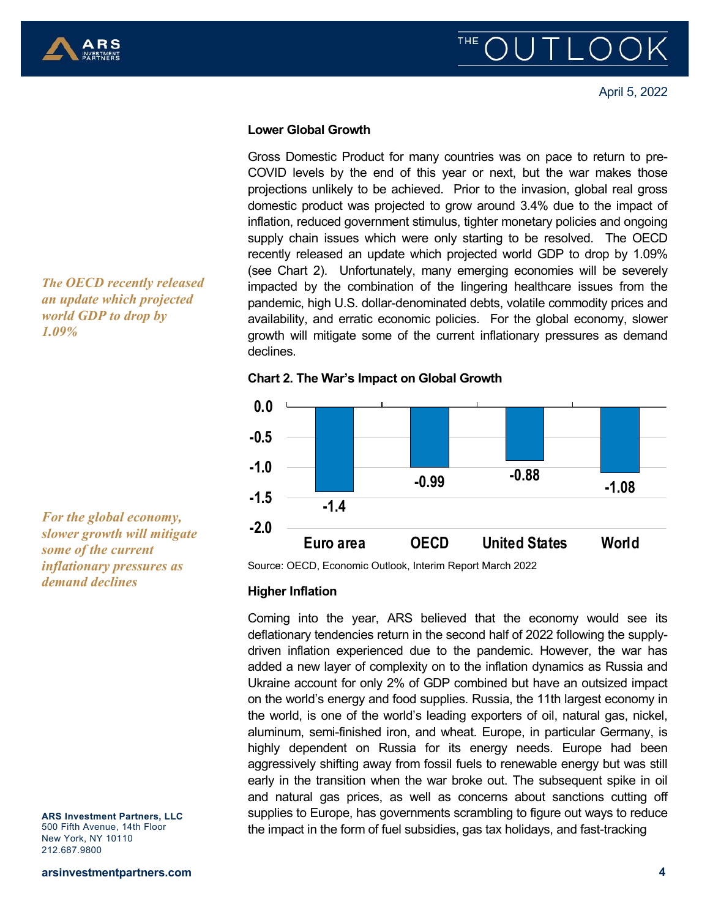

## **THE**

April 5, 2022

#### **Lower Global Growth**

Gross Domestic Product for many countries was on pace to return to pre-COVID levels by the end of this year or next, but the war makes those projections unlikely to be achieved. Prior to the invasion, global real gross domestic product was projected to grow around 3.4% due to the impact of inflation, reduced government stimulus, tighter monetary policies and ongoing supply chain issues which were only starting to be resolved. The OECD recently released an update which projected world GDP to drop by 1.09% (see Chart 2). Unfortunately, many emerging economies will be severely impacted by the combination of the lingering healthcare issues from the pandemic, high U.S. dollar-denominated debts, volatile commodity prices and availability, and erratic economic policies. For the global economy, slower growth will mitigate some of the current inflationary pressures as demand declines.

**Chart 2. The War's Impact on Global Growth**



Source: OECD, Economic Outlook, Interim Report March 2022

#### **Higher Inflation**

Coming into the year, ARS believed that the economy would see its deflationary tendencies return in the second half of 2022 following the supplydriven inflation experienced due to the pandemic. However, the war has added a new layer of complexity on to the inflation dynamics as Russia and Ukraine account for only 2% of GDP combined but have an outsized impact on the world's energy and food supplies. Russia, the 11th largest economy in the world, is one of the world's leading exporters of oil, natural gas, nickel, aluminum, semi-finished iron, and wheat. Europe, in particular Germany, is highly dependent on Russia for its energy needs. Europe had been aggressively shifting away from fossil fuels to renewable energy but was still early in the transition when the war broke out. The subsequent spike in oil and natural gas prices, as well as concerns about sanctions cutting off supplies to Europe, has governments scrambling to figure out ways to reduce the impact in the form of fuel subsidies, gas tax holidays, and fast-tracking

*The OECD recently released an update which projected world GDP to drop by 1.09%* 

*For the global economy, slower growth will mitigate some of the current inflationary pressures as demand declines*

**ARS Investment Partners, LLC** 500 Fifth Avenue, 14th Floor New York, NY 10110 212.687.9800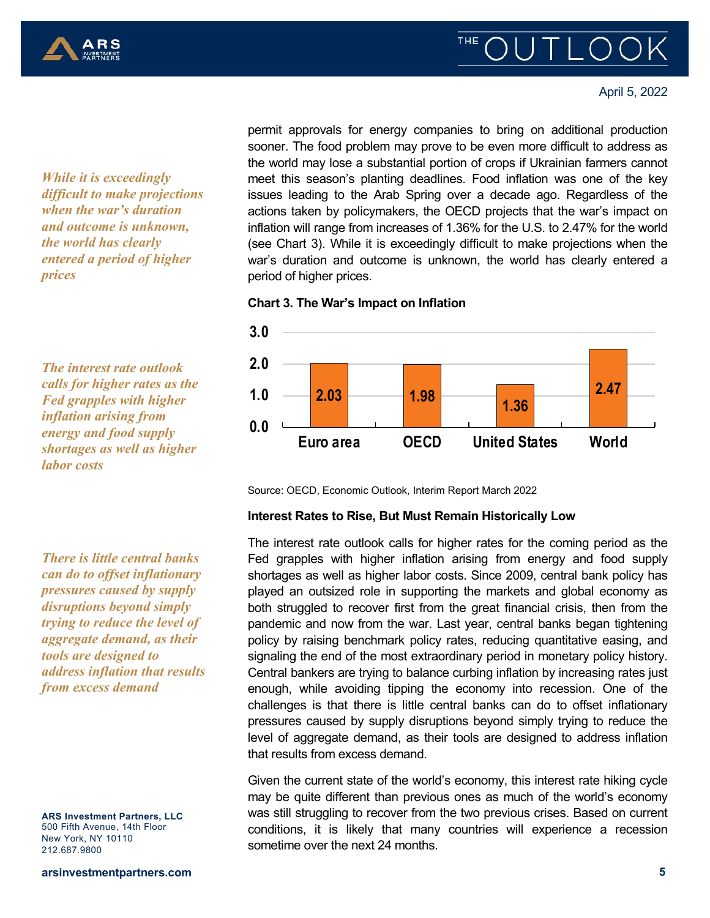

#### April 5, 2022

*While it is exceedingly difficult to make projections when the war's duration and outcome is unknown, the world has clearly entered a period of higher prices*

*The interest rate outlook calls for higher rates as the Fed grapples with higher inflation arising from energy and food supply shortages as well as higher labor costs*

*There is little central banks can do to offset inflationary pressures caused by supply disruptions beyond simply trying to reduce the level of aggregate demand, as their tools are designed to address inflation that results from excess demand* 

**ARS Investment Partners, LLC** 500 Fifth Avenue, 14th Floor New York, NY 10110 212.687.9800

**arsinvestmentpartners.com**

permit approvals for energy companies to bring on additional production sooner. The food problem may prove to be even more difficult to address as the world may lose a substantial portion of crops if Ukrainian farmers cannot meet this season's planting deadlines. Food inflation was one of the key issues leading to the Arab Spring over a decade ago. Regardless of the actions taken by policymakers, the OECD projects that the war's impact on inflation will range from increases of 1.36% for the U.S. to 2.47% for the world (see Chart 3). While it is exceedingly difficult to make projections when the war's duration and outcome is unknown, the world has clearly entered a period of higher prices.

**Chart 3. The War's Impact on Inflation**



Source: OECD, Economic Outlook, Interim Report March 2022

#### **Interest Rates to Rise, But Must Remain Historically Low**

The interest rate outlook calls for higher rates for the coming period as the Fed grapples with higher inflation arising from energy and food supply shortages as well as higher labor costs. Since 2009, central bank policy has played an outsized role in supporting the markets and global economy as both struggled to recover first from the great financial crisis, then from the pandemic and now from the war. Last year, central banks began tightening policy by raising benchmark policy rates, reducing quantitative easing, and signaling the end of the most extraordinary period in monetary policy history. Central bankers are trying to balance curbing inflation by increasing rates just enough, while avoiding tipping the economy into recession. One of the challenges is that there is little central banks can do to offset inflationary pressures caused by supply disruptions beyond simply trying to reduce the level of aggregate demand, as their tools are designed to address inflation that results from excess demand.

Given the current state of the world's economy, this interest rate hiking cycle may be quite different than previous ones as much of the world's economy was still struggling to recover from the two previous crises. Based on current conditions, it is likely that many countries will experience a recession sometime over the next 24 months.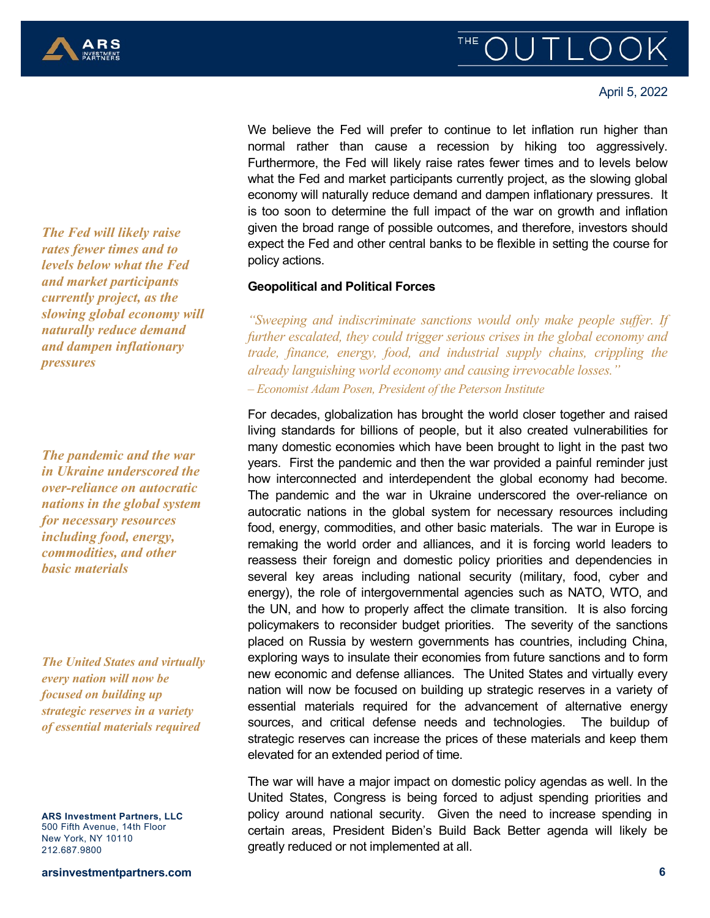

April 5, 2022

*The Fed will likely raise rates fewer times and to levels below what the Fed and market participants currently project, as the slowing global economy will naturally reduce demand and dampen inflationary pressures*

*The pandemic and the war in Ukraine underscored the over-reliance on autocratic nations in the global system for necessary resources including food, energy, commodities, and other basic materials* 

*The United States and virtually every nation will now be focused on building up strategic reserves in a variety of essential materials required*

**ARS Investment Partners, LLC** 500 Fifth Avenue, 14th Floor New York, NY 10110 212.687.9800

**arsinvestmentpartners.com**

We believe the Fed will prefer to continue to let inflation run higher than normal rather than cause a recession by hiking too aggressively. Furthermore, the Fed will likely raise rates fewer times and to levels below what the Fed and market participants currently project, as the slowing global economy will naturally reduce demand and dampen inflationary pressures. It is too soon to determine the full impact of the war on growth and inflation given the broad range of possible outcomes, and therefore, investors should expect the Fed and other central banks to be flexible in setting the course for policy actions.

#### **Geopolitical and Political Forces**

*"Sweeping and indiscriminate sanctions would only make people suffer. If further escalated, they could trigger serious crises in the global economy and trade, finance, energy, food, and industrial supply chains, crippling the already languishing world economy and causing irrevocable losses."* – *Economist Adam Posen, President of the Peterson Institute*

For decades, globalization has brought the world closer together and raised living standards for billions of people, but it also created vulnerabilities for many domestic economies which have been brought to light in the past two years. First the pandemic and then the war provided a painful reminder just how interconnected and interdependent the global economy had become. The pandemic and the war in Ukraine underscored the over-reliance on autocratic nations in the global system for necessary resources including food, energy, commodities, and other basic materials. The war in Europe is remaking the world order and alliances, and it is forcing world leaders to reassess their foreign and domestic policy priorities and dependencies in several key areas including national security (military, food, cyber and energy), the role of intergovernmental agencies such as NATO, WTO, and the UN, and how to properly affect the climate transition. It is also forcing policymakers to reconsider budget priorities. The severity of the sanctions placed on Russia by western governments has countries, including China, exploring ways to insulate their economies from future sanctions and to form new economic and defense alliances. The United States and virtually every nation will now be focused on building up strategic reserves in a variety of essential materials required for the advancement of alternative energy sources, and critical defense needs and technologies. The buildup of strategic reserves can increase the prices of these materials and keep them elevated for an extended period of time.

The war will have a major impact on domestic policy agendas as well. In the United States, Congress is being forced to adjust spending priorities and policy around national security. Given the need to increase spending in certain areas, President Biden's Build Back Better agenda will likely be greatly reduced or not implemented at all.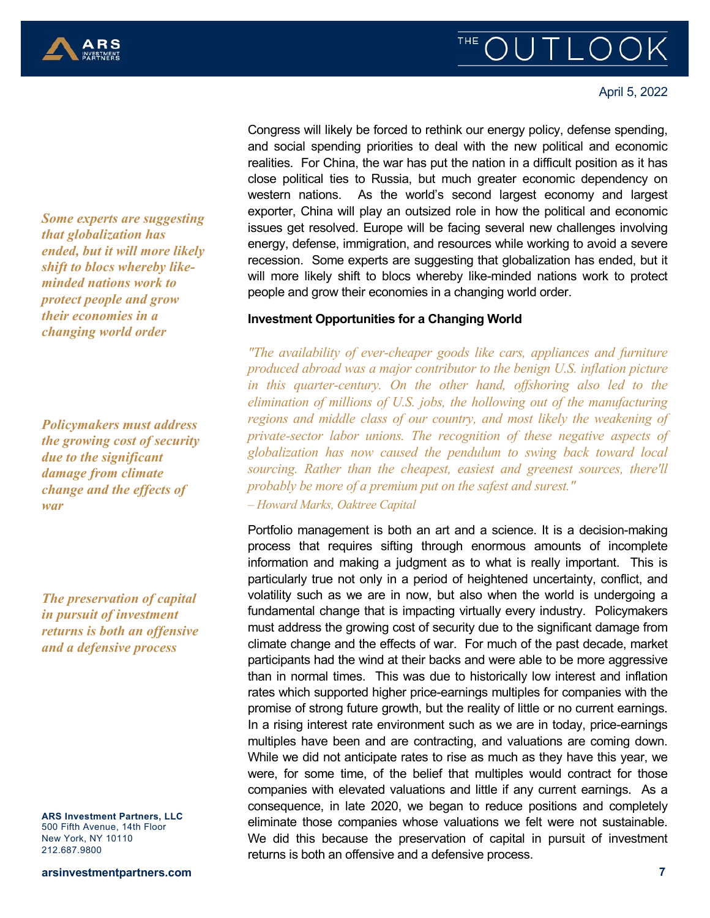

April 5, 2022

*Some experts are suggesting that globalization has ended, but it will more likely shift to blocs whereby likeminded nations work to protect people and grow their economies in a changing world order* 

*Policymakers must address the growing cost of security due to the significant damage from climate change and the effects of war*

*The preservation of capital in pursuit of investment returns is both an offensive and a defensive process* 

**ARS Investment Partners, LLC** 500 Fifth Avenue, 14th Floor New York, NY 10110 212.687.9800

**arsinvestmentpartners.com**

Congress will likely be forced to rethink our energy policy, defense spending, and social spending priorities to deal with the new political and economic realities. For China, the war has put the nation in a difficult position as it has close political ties to Russia, but much greater economic dependency on western nations. As the world's second largest economy and largest exporter, China will play an outsized role in how the political and economic issues get resolved. Europe will be facing several new challenges involving energy, defense, immigration, and resources while working to avoid a severe recession. Some experts are suggesting that globalization has ended, but it will more likely shift to blocs whereby like-minded nations work to protect people and grow their economies in a changing world order.

#### **Investment Opportunities for a Changing World**

*"The availability of ever-cheaper goods like cars, appliances and furniture produced abroad was a major contributor to the benign U.S. inflation picture in this quarter-century. On the other hand, offshoring also led to the elimination of millions of U.S. jobs, the hollowing out of the manufacturing regions and middle class of our country, and most likely the weakening of private-sector labor unions. The recognition of these negative aspects of globalization has now caused the pendulum to swing back toward local sourcing. Rather than the cheapest, easiest and greenest sources, there'll probably be more of a premium put on the safest and surest."*

– *Howard Marks, Oaktree Capital*

Portfolio management is both an art and a science. It is a decision-making process that requires sifting through enormous amounts of incomplete information and making a judgment as to what is really important. This is particularly true not only in a period of heightened uncertainty, conflict, and volatility such as we are in now, but also when the world is undergoing a fundamental change that is impacting virtually every industry. Policymakers must address the growing cost of security due to the significant damage from climate change and the effects of war. For much of the past decade, market participants had the wind at their backs and were able to be more aggressive than in normal times. This was due to historically low interest and inflation rates which supported higher price-earnings multiples for companies with the promise of strong future growth, but the reality of little or no current earnings. In a rising interest rate environment such as we are in today, price-earnings multiples have been and are contracting, and valuations are coming down. While we did not anticipate rates to rise as much as they have this year, we were, for some time, of the belief that multiples would contract for those companies with elevated valuations and little if any current earnings. As a consequence, in late 2020, we began to reduce positions and completely eliminate those companies whose valuations we felt were not sustainable. We did this because the preservation of capital in pursuit of investment returns is both an offensive and a defensive process.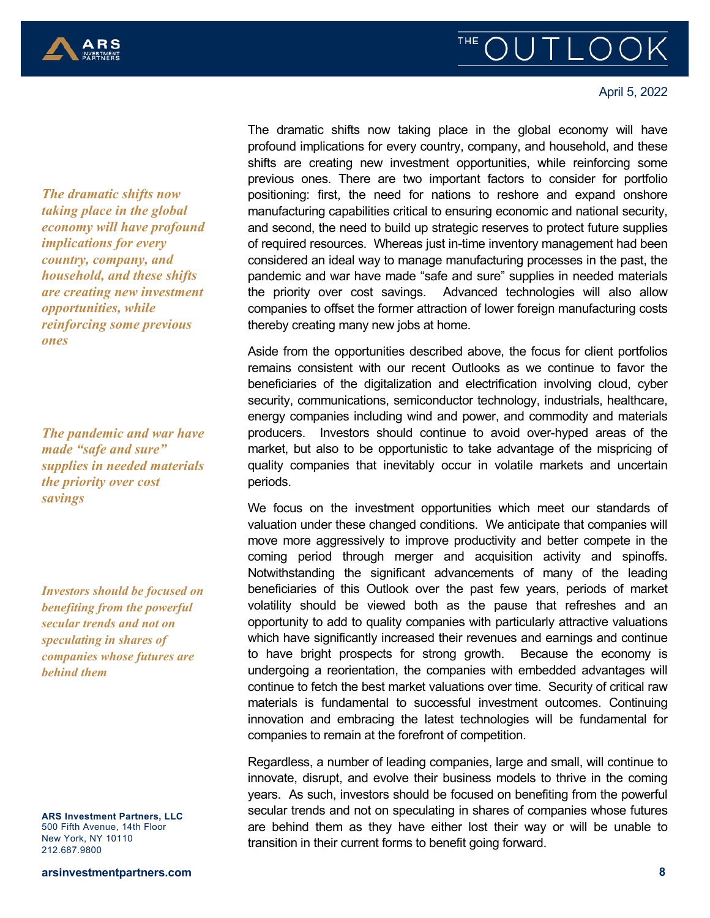

#### April 5, 2022

*The dramatic shifts now taking place in the global economy will have profound implications for every country, company, and household, and these shifts are creating new investment opportunities, while reinforcing some previous ones* 

*The pandemic and war have made "safe and sure" supplies in needed materials the priority over cost savings* 

*Investors should be focused on benefiting from the powerful secular trends and not on speculating in shares of companies whose futures are behind them*

**ARS Investment Partners, LLC** 500 Fifth Avenue, 14th Floor New York, NY 10110 212.687.9800

The dramatic shifts now taking place in the global economy will have profound implications for every country, company, and household, and these shifts are creating new investment opportunities, while reinforcing some previous ones. There are two important factors to consider for portfolio positioning: first, the need for nations to reshore and expand onshore manufacturing capabilities critical to ensuring economic and national security, and second, the need to build up strategic reserves to protect future supplies of required resources. Whereas just in-time inventory management had been considered an ideal way to manage manufacturing processes in the past, the pandemic and war have made "safe and sure" supplies in needed materials the priority over cost savings. Advanced technologies will also allow companies to offset the former attraction of lower foreign manufacturing costs thereby creating many new jobs at home.

Aside from the opportunities described above, the focus for client portfolios remains consistent with our recent Outlooks as we continue to favor the beneficiaries of the digitalization and electrification involving cloud, cyber security, communications, semiconductor technology, industrials, healthcare, energy companies including wind and power, and commodity and materials producers. Investors should continue to avoid over-hyped areas of the market, but also to be opportunistic to take advantage of the mispricing of quality companies that inevitably occur in volatile markets and uncertain periods.

We focus on the investment opportunities which meet our standards of valuation under these changed conditions. We anticipate that companies will move more aggressively to improve productivity and better compete in the coming period through merger and acquisition activity and spinoffs. Notwithstanding the significant advancements of many of the leading beneficiaries of this Outlook over the past few years, periods of market volatility should be viewed both as the pause that refreshes and an opportunity to add to quality companies with particularly attractive valuations which have significantly increased their revenues and earnings and continue to have bright prospects for strong growth. Because the economy is undergoing a reorientation, the companies with embedded advantages will continue to fetch the best market valuations over time. Security of critical raw materials is fundamental to successful investment outcomes. Continuing innovation and embracing the latest technologies will be fundamental for companies to remain at the forefront of competition.

Regardless, a number of leading companies, large and small, will continue to innovate, disrupt, and evolve their business models to thrive in the coming years. As such, investors should be focused on benefiting from the powerful secular trends and not on speculating in shares of companies whose futures are behind them as they have either lost their way or will be unable to transition in their current forms to benefit going forward.